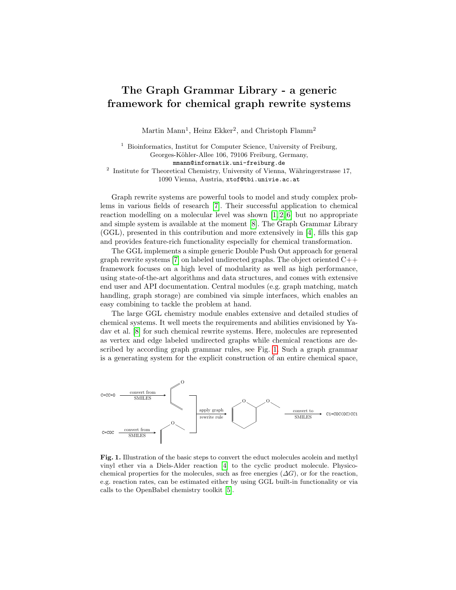## The Graph Grammar Library - a generic framework for chemical graph rewrite systems

Martin Mann<sup>1</sup>, Heinz Ekker<sup>2</sup>, and Christoph Flamm<sup>2</sup>

<sup>1</sup> Bioinformatics, Institut for Computer Science, University of Freiburg, Georges-Köhler-Allee 106, 79106 Freiburg, Germany, mmann@informatik.uni-freiburg.de <sup>2</sup> Institute for Theoretical Chemistry, University of Vienna, Währingerstrasse 17, 1090 Vienna, Austria, xtof@tbi.univie.ac.at

Graph rewrite systems are powerful tools to model and study complex problems in various fields of research [\[7\]](#page-1-0). Their successful application to chemical reaction modelling on a molecular level was shown  $[1, 2, 6]$  $[1, 2, 6]$  $[1, 2, 6]$  but no appropriate and simple system is available at the moment [\[8\]](#page-1-4). The Graph Grammar Library (GGL), presented in this contribution and more extensively in [\[4\]](#page-1-5), fills this gap and provides feature-rich functionality especially for chemical transformation.

The GGL implements a simple generic Double Push Out approach for general graph rewrite systems [\[7\]](#page-1-0) on labeled undirected graphs. The object oriented  $C++$ framework focuses on a high level of modularity as well as high performance, using state-of-the-art algorithms and data structures, and comes with extensive end user and API documentation. Central modules (e.g. graph matching, match handling, graph storage) are combined via simple interfaces, which enables an easy combining to tackle the problem at hand.

The large GGL chemistry module enables extensive and detailed studies of chemical systems. It well meets the requirements and abilities envisioned by Yadav et al. [\[8\]](#page-1-4) for such chemical rewrite systems. Here, molecules are represented as vertex and edge labeled undirected graphs while chemical reactions are described by according graph grammar rules, see Fig. [1.](#page-0-0) Such a graph grammar is a generating system for the explicit construction of an entire chemical space,



<span id="page-0-0"></span>Fig. 1. Illustration of the basic steps to convert the educt molecules acolein and methyl vinyl ether via a Diels-Alder reaction [\[4\]](#page-1-5) to the cyclic product molecule. Physicochemical properties for the molecules, such as free energies  $(\Delta G)$ , or for the reaction, e.g. reaction rates, can be estimated either by using GGL built-in functionality or via calls to the OpenBabel chemistry toolkit [\[5\]](#page-1-6).